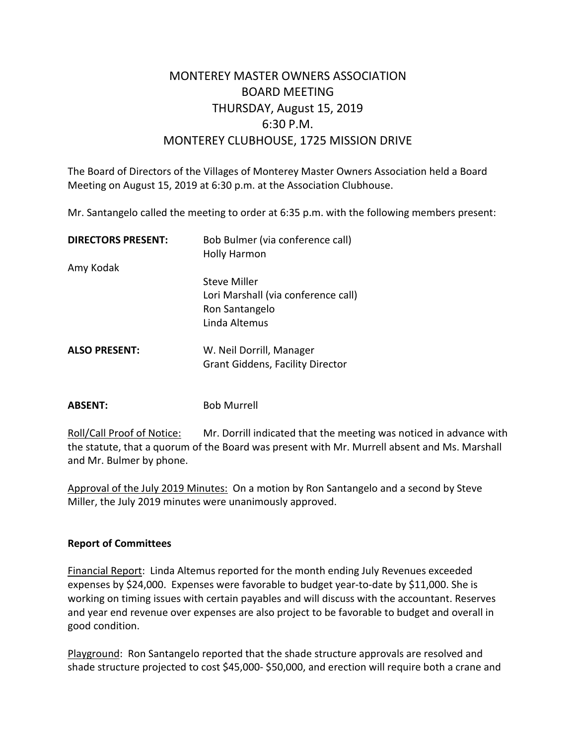## MONTEREY MASTER OWNERS ASSOCIATION BOARD MEETING THURSDAY, August 15, 2019 6:30 P.M. MONTEREY CLUBHOUSE, 1725 MISSION DRIVE

The Board of Directors of the Villages of Monterey Master Owners Association held a Board Meeting on August 15, 2019 at 6:30 p.m. at the Association Clubhouse.

Mr. Santangelo called the meeting to order at 6:35 p.m. with the following members present:

| <b>DIRECTORS PRESENT:</b> | Bob Bulmer (via conference call)<br><b>Holly Harmon</b> |
|---------------------------|---------------------------------------------------------|
| Amy Kodak                 |                                                         |
|                           | Steve Miller                                            |
|                           | Lori Marshall (via conference call)                     |
|                           | Ron Santangelo                                          |
|                           | Linda Altemus                                           |
| <b>ALSO PRESENT:</b>      | W. Neil Dorrill, Manager                                |
|                           | <b>Grant Giddens, Facility Director</b>                 |
|                           |                                                         |

**ABSENT:** Bob Murrell

Roll/Call Proof of Notice: Mr. Dorrill indicated that the meeting was noticed in advance with the statute, that a quorum of the Board was present with Mr. Murrell absent and Ms. Marshall and Mr. Bulmer by phone.

Approval of the July 2019 Minutes: On a motion by Ron Santangelo and a second by Steve Miller, the July 2019 minutes were unanimously approved.

## **Report of Committees**

Financial Report: Linda Altemus reported for the month ending July Revenues exceeded expenses by \$24,000. Expenses were favorable to budget year-to-date by \$11,000. She is working on timing issues with certain payables and will discuss with the accountant. Reserves and year end revenue over expenses are also project to be favorable to budget and overall in good condition.

Playground: Ron Santangelo reported that the shade structure approvals are resolved and shade structure projected to cost \$45,000- \$50,000, and erection will require both a crane and